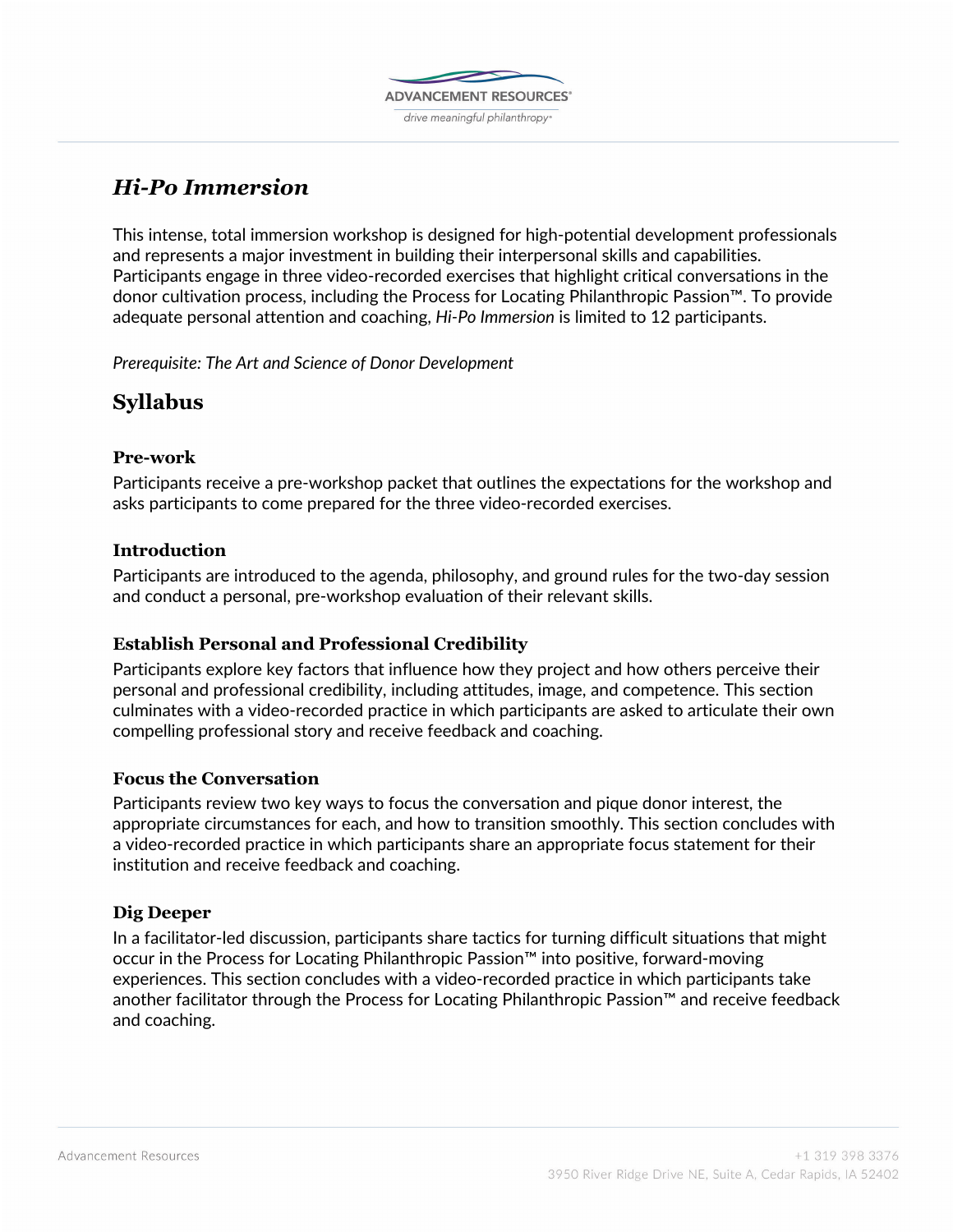

# *Hi-Po Immersion*

This intense, total immersion workshop is designed for high-potential development professionals and represents a major investment in building their interpersonal skills and capabilities. Participants engage in three video-recorded exercises that highlight critical conversations in the donor cultivation process, including the Process for Locating Philanthropic Passion™. To provide adequate personal attention and coaching, *Hi-Po Immersion* is limited to 12 participants.

*Prerequisite: The Art and Science of Donor Development*

## **Syllabus**

### **Pre-work**

Participants receive a pre-workshop packet that outlines the expectations for the workshop and asks participants to come prepared for the three video-recorded exercises.

### **Introduction**

Participants are introduced to the agenda, philosophy, and ground rules for the two-day session and conduct a personal, pre-workshop evaluation of their relevant skills.

### **Establish Personal and Professional Credibility**

Participants explore key factors that influence how they project and how others perceive their personal and professional credibility, including attitudes, image, and competence. This section culminates with a video-recorded practice in which participants are asked to articulate their own compelling professional story and receive feedback and coaching.

### **Focus the Conversation**

Participants review two key ways to focus the conversation and pique donor interest, the appropriate circumstances for each, and how to transition smoothly. This section concludes with a video-recorded practice in which participants share an appropriate focus statement for their institution and receive feedback and coaching.

### **Dig Deeper**

In a facilitator-led discussion, participants share tactics for turning difficult situations that might occur in the Process for Locating Philanthropic Passion™ into positive, forward-moving experiences. This section concludes with a video-recorded practice in which participants take another facilitator through the Process for Locating Philanthropic Passion™ and receive feedback and coaching.